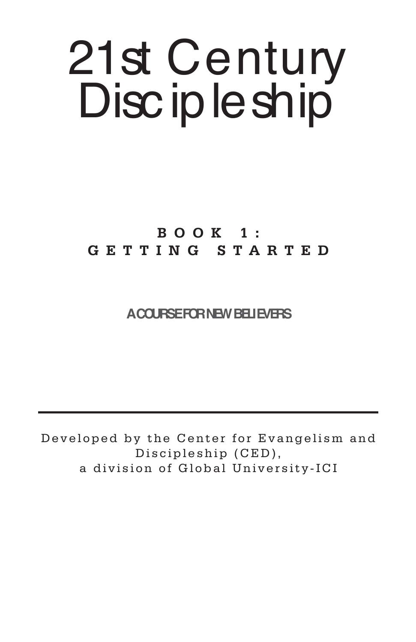# 21st Century Disc ip le ship

# **BOOK 1: GETTING STARTED**

## **A COURSE FOR NEW BELIEVERS**

Developed by the Center for Evangelism and Discipleship (CED), a division of Global University-ICI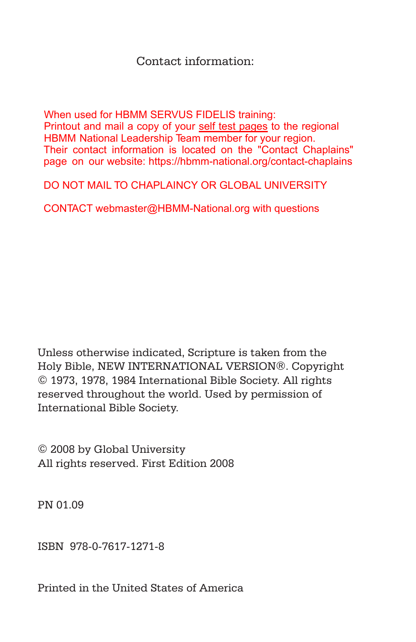#### Contact information:

Printout and mail a copy of your self test pages to the regional page on our website: https://hbmm-national.org/contact-chaplains When used for HBMM SERVUS FIDELIS training: HBMM National Leadership Team member for your region. Their contact information is located on the "Contact Chaplains"

DO NOT MAIL TO CHAPLAINCY OR GLOBAL UNIVERSITY

CONTACT webmaster@HBMM-National.org with questions

Unless otherwise indicated, Scripture is taken from the Holy Bible, NEW INTERNATIONAL VERSION®. Copyright © 1973, 1978, 1984 International Bible Society. All rights reserved throughout the world. Used by permission of International Bible Society.

© 2008 by Global University All rights reserved. First Edition 2008

PN 01.09

ISBN 978-0-7617-1271-8

Printed in the United States of America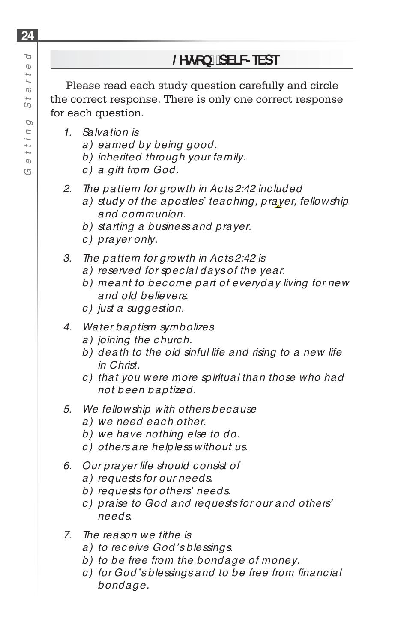Please read each study question carefully and circle the correct response. There is only one correct response for each question.

- *1. Salvation is*
	- *a) earned by being good.*
	- *b) inherited through your family.*
	- *c ) a gift from God.*
- *2. The pattern for growth in Ac ts 2:42 inc luded*
	- *a) study of the apostles' teac hing, prayer, fellowship and c ommunion.*
	- *b) starting a business and prayer.*
	- *c ) prayer only.*
- *3. The pattern for growth in Ac ts 2:42 is*
	- *a) reserved for spec ial days of the year.*
	- *b) meant to bec ome part of everyday living for new and old believers.*
	- *c ) just a suggestion.*
- *4. Water baptism symbolizes*
	- *a) joining the c hurc h.*
	- *b) death to the old sinful life and rising to a new life in Christ.*
	- *c ) that you were more spiritual than those who had not been baptized.*
- *5. We fellowship with others bec ause*
	- *a) we need eac h other.*
	- *b) we have nothing else to do.*
	- *c ) others are helpless without us.*
- *6. Our prayer life should c onsist of*
	- *a) requests for our needs.*
	- *b) requests for others' needs.*
	- *c ) praise to God and requests for our and others' needs.*
- *7. The reason we tithe is*
	- *a) to rec eive God's blessings.*
	- *b) to be free from the bondage of money.*
	- *c*) for God's blessings and to be free from financial *bondage.*

**24**

Þ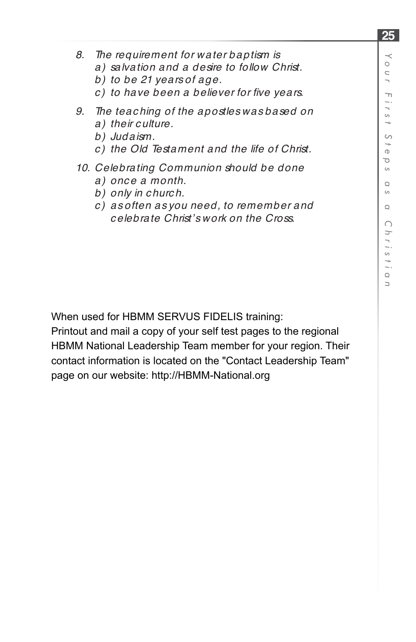- *8. The requirement for water baptism is*
	- *a) salvation and a desire to follow Christ.*
	- *b) to be 21 years of age.*
	- *c ) to have been a believer for fi ve years.*
- *9. The teac hing of the apostles was based on a) their c ulture.*
	- *b) Judaism.*
	- *c ) the Old Testament and the life of Christ.*

#### *10. Celebrating Communion should be done*

- *a) onc e a month.*
- *b) only in c hurc h.*
- *c ) as often as you need, to remember and c elebrate Christ's work on the Cross.*

When used for HBMM SERVUS FIDELIS training:

Printout and mail a copy of your self test pages to the regional HBMM National Leadership Team member for your region. Their contact information is located on the "Contact Leadership Team" page on our website: http://HBMM-National.org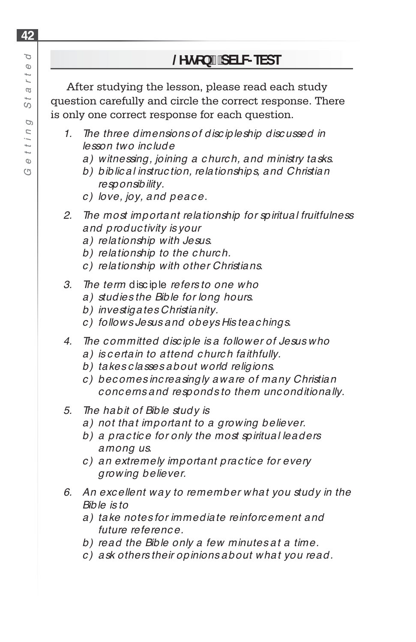After studying the lesson, please read each study question carefully and circle the correct response. There is only one correct response for each question.

- *1. The three dimensions of disc ipleship disc ussed in lesson two inc lude*
	- *a) witnessing, joining a c hurc h, and ministry tasks.*
	- *b) biblic al instruc tion, relationships, and Christian responsibility.*
	- *c ) love, joy, and peac e.*
- *2. The most important relationship for spiritual fruitfulness and produc tivity is your*
	- *a) relationship with Jesus.*
	- *b) relationship to the c hurc h.*
	- *c ) relationship with other Christians.*
- *3. The term* disc iple *refers to one who*
	- *a) studies the Bible for long hours.*
	- *b) investigates Christianity.*
	- *c ) follows Jesus and obeys His teac hings.*
- *4. The c ommitted disc iple is a follower of Jesus who*
	- *a) is c ertain to attend c hurc h faithfully.*
	- *b) takes c lasses about world religions.*
	- *c ) bec omes inc reasingly aware of many Christian c onc erns and responds to them unc onditionally.*
- *5. The habit of Bible study is*
	- *a) not that important to a growing believer.*
	- *b) a prac tic e for only the most spiritual leaders among us.*
	- *c ) an extremely important prac tic e for every growing believer.*
- *6. An exc ellent way to remember what you study in the Bible is to*
	- *a) take notes for immediate reinforc ement and future referenc e.*
	- *b) read the Bible only a few minutes at a time.*
	- *c ) ask others their opinions about what you read.*

**42** p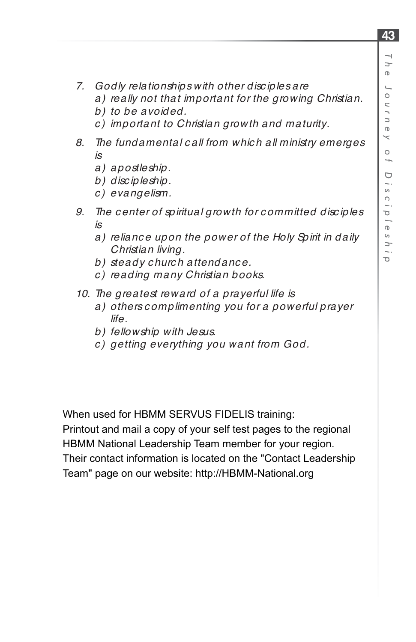- *7. Godly relationships with other disc iples are*
	- *a) really not that important for the growing Christian.*
	- *b) to be avoided.*
	- *c ) important to Christian growth and maturity.*
- *8. The fundamental c all from whic h all ministry emerges is*
	- *a) apostleship.*
	- *b) disc ipleship.*
	- *c ) evangelism.*
- *9. The c enter of spiritual growth for c ommitted disc iples is*
	- *a) relianc e upon the power of the Holy Spirit in daily Christian living.*
	- *b) steady c hurc h attendanc e.*
	- *c ) reading many Christian books.*
- *10. The greatest reward of a prayerful life is*
	- *a) others c omplimenting you for a powerful prayer life.*
	- *b) fellowship with Jesus.*
	- *c ) getting everything you want from God.*

When used for HBMM SERVUS FIDELIS training:

Printout and mail a copy of your self test pages to the regional HBMM National Leadership Team member for your region. Their contact information is located on the "Contact Leadership Team" page on our website: http://HBMM-National.org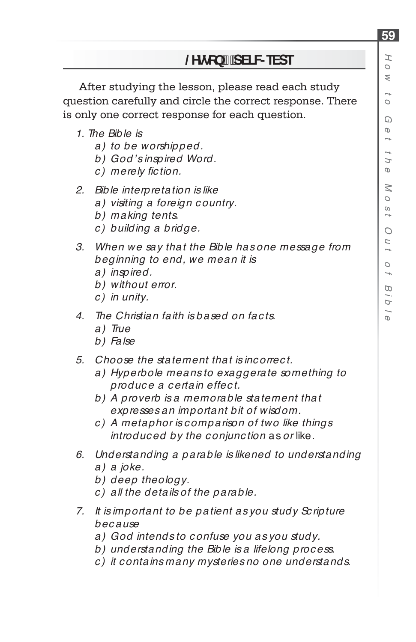#### *H o w* $\rightarrow$  *oG ett h eM o stO u* $\rightarrow$ *o fB i bl e*

**59**

## **/HVVRQSELF-TEST**

After studying the lesson, please read each study question carefully and circle the correct response. There is only one correct response for each question.

- *1. The Bible is*
	- *a) to be worshipped.*
	- *b) God's inspired Word.*
	- *c*) merely fiction.
- *2. Bible interpretation is like*
	- *a) visiting a foreign c ountry.*
	- *b) making tents.*
	- *c ) building a bridge.*
- *3. When we say that the Bible has one message from beginning to end, we mean it is* 
	- *a) inspired.*
	- *b) without error.*
	- *c ) in unity.*
- *4. The Christian faith is based on fac ts.*
	- *a) True*
	- *b) False*
- *5. Choose the statement that is inc orrec t.* 
	- *a) Hyperbole means to exaggerate something to produc e a c ertain effec t.*
	- *b) A proverb is a memorable statement that expresses an important bit of wisdom.*
	- *c ) A metaphor is c omparison of two like things introduc ed by the c onjunc tion* as *or* like.
- *6. Understanding a parable is likened to understanding a) a joke.*
	- *b) deep theology.*
	- *c ) all the details of the parable.*
- *7. It is important to be patient as you study Sc ripture bec ause*
	- *a) God intends to c onfuse you as you study.*
	- *b) understanding the Bible is a lifelong proc ess.*
	- *c ) it c ontains many mysteries no one understands.*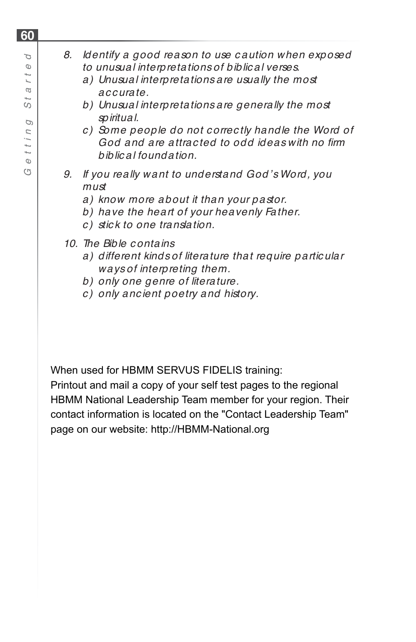### *8. Identify a good reason to use c aution when exposed to unusual interpretations of biblic al verses.*

- *a) Unusual interpretations are usually the most ac c urate.*
- *b) Unusual interpretations are generally the most spiritual.*
- *c ) Some people do not c orrec tly handle the Word of God and are attrac ted to odd ideas with no fi rm biblic al foundation.*
- *9. If you really want to understand God's Word, you must*
	- *a) know more about it than your pastor.*
	- *b) have the heart of your heavenly Father.*
	- *c ) stic k to one translation.*
- *10. The Bible c ontains* 
	- *a) different kinds of literature that require partic ular ways of interpreting them.*
	- *b) only one genre of literature.*
	- *c ) only anc ient poetry and history.*

When used for HBMM SERVUS FIDELIS training:

Printout and mail a copy of your self test pages to the regional HBMM National Leadership Team member for your region. Their contact information is located on the "Contact Leadership Team" page on our website: http://HBMM-National.org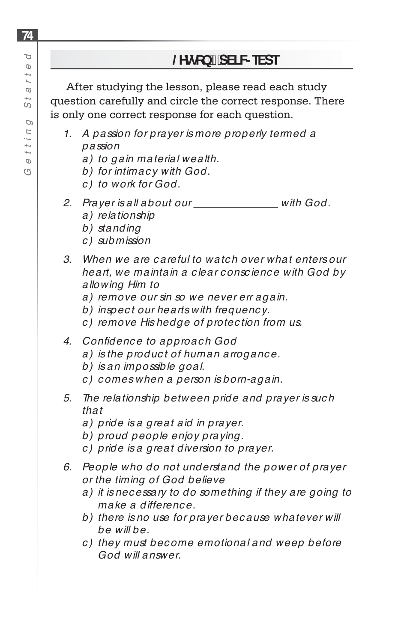After studying the lesson, please read each study question carefully and circle the correct response. There is only one correct response for each question.

- *1. A passion for prayer is more properly termed a passion*
	- *a) to gain material wealth.*
	- *b) for intimac y with God.*
	- *c ) to work for God.*
- *2. Prayer is all about our \_\_\_\_\_\_\_\_\_\_\_\_\_\_\_\_ with God.*
	- *a) relationship*
	- *b) standing*
	- *c ) submission*
- *3. When we are c areful to watc h over what enters our heart, we maintain a c lear c onsc ienc e with God by allowing Him to* 
	- *a) remove our sin so we never err again.*
	- *b) inspec t our hearts with frequenc y.*
	- *c ) remove His hedge of protec tion from us.*
- *4. Confi denc e to approac h God* 
	- *a) is the produc t of human arroganc e.*
	- *b) is an impossible goal.*
	- *c ) c omes when a person is born-again.*
- *5. The relationship between pride and prayer is suc h that* 
	- *a) pride is a great aid in prayer.*
	- *b) proud people enjoy praying.*
	- *c ) pride is a great diversion to prayer.*
- *6. People who do not understand the power of prayer or the timing of God believe* 
	- *a) it is nec essary to do something if they are going to make a differenc e.*
	- *b) there is no use for prayer bec ause whatever will be will be.*
	- *c ) they must bec ome emotional and weep before God will answer.*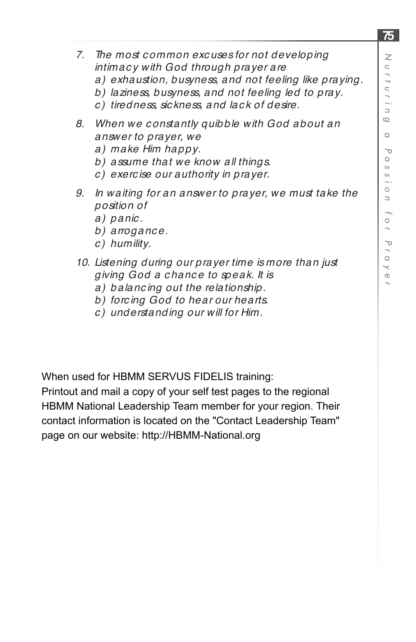- *7. The most c ommon exc uses for not developing intimac y with God through prayer are* 
	- *a) exhaustion, busyness, and not feeling like praying.*
	- *b) laziness, busyness, and not feeling led to pray.*
	- *c ) tiredness, sic kness, and lac k of desire.*
- *8. When we c onstantly quibble with God about an answer to prayer, we* 
	- *a) make Him happy.*
	- *b) assume that we know all things.*
	- *c ) exerc ise our authority in prayer.*
- *9. In waiting for an answer to prayer, we must take the position of*
	- *a) panic .*
	- *b) arroganc e.*
	- *c ) humility.*
- *10. Listening during our prayer time is more than just giving God a c hanc e to speak. It is* 
	- *a) balanc ing out the relationship.*
	- *b) forc ing God to hear our hearts.*
	- *c ) understanding our will for Him.*

When used for HBMM SERVUS FIDELIS training:

Printout and mail a copy of your self test pages to the regional HBMM National Leadership Team member for your region. Their contact information is located on the "Contact Leadership Team" page on our website: http://HBMM-National.org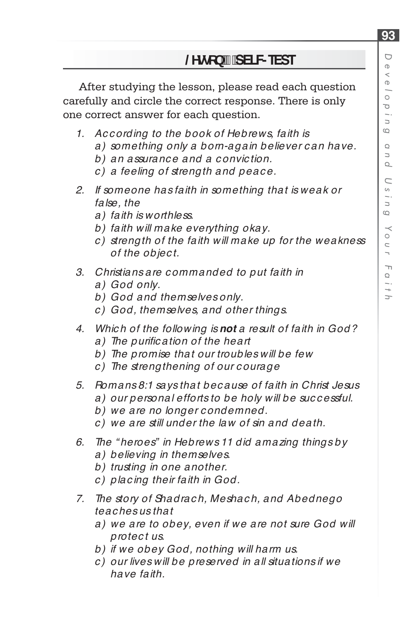After studying the lesson, please read each question carefully and circle the correct response. There is only one correct answer for each question.

- *1. Ac c ording to the book of Hebrews, faith is*
	- *a) something only a born-again believer c an have.*
	- *b) an assuranc e and a c onvic tion.*
	- *c ) a feeling of strength and peac e.*
- *2. If someone has faith in something that is weak or false, the*
	- *a) faith is worthless.*
	- *b) faith will make everything okay.*
	- *c ) strength of the faith will make up for the weakness of the objec t.*
- *3. Christians are c ommanded to put faith in*
	- *a) God only.*
	- *b) God and themselves only.*
	- *c ) God, themselves, and other things.*
- *4. Whic h of the following is not a result of faith in God?*
	- a) The purification of the heart
	- *b) The promise that our troubles will be few*
	- *c ) The strengthening of our c ourage*
- *5. Romans 8:1 says that bec ause of faith in Christ Jesus a) our personal efforts to be holy will be suc c essful.*
	- *b) we are no longer c ondemned.*
	- *c ) we are still under the law of sin and death.*
- *6. The " heroes" in Hebrews 11 did amazing things by a) believing in themselves.*
	- *b) trusting in one another.*
	- *c ) plac ing their faith in God.*
- *7. The story of Shadrac h, Meshac h, and Abednego teac hes us that*
	- *a) we are to obey, even if we are not sure God will protec t us.*
	- *b) if we obey God, nothing will harm us.*
	- *c ) our lives will be preserved in all situations if we have faith.*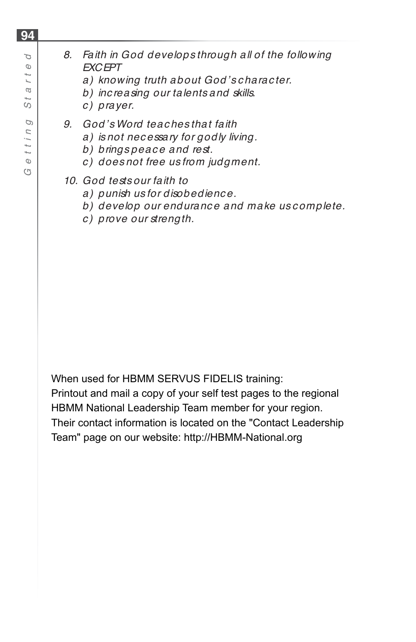# *8. Faith in God develops through all of the following EXCEPT*

- *a) knowing truth about God's c harac ter.*
- *b) inc reasing our talents and skills.*
- *c ) prayer.*
- *9. God's Word teac hes that faith* 
	- *a) is not nec essary for godly living.*
	- *b) brings peac e and rest.*
	- *c ) does not free us from judgment.*

#### *10. God tests our faith to*

- *a) punish us for disobedienc e.*
- *b) develop our enduranc e and make us c omplete.*
- *c ) prove our strength.*

When used for HBMM SERVUS FIDELIS training:

Printout and mail a copy of your self test pages to the regional HBMM National Leadership Team member for your region. Their contact information is located on the "Contact Leadership Team" page on our website: http://HBMM-National.org

**94**

P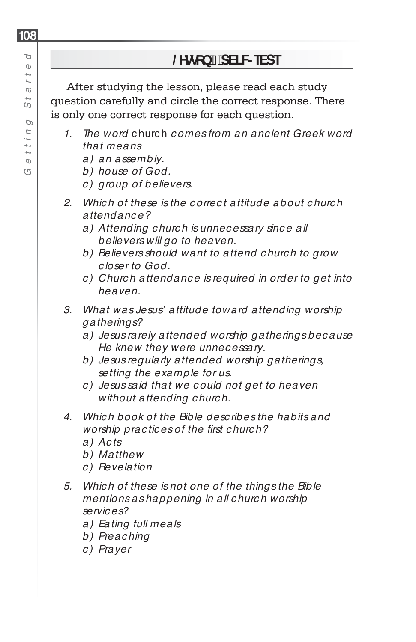After studying the lesson, please read each study question carefully and circle the correct response. There is only one correct response for each question.

- *1. The word* c hurc h *c omes from an anc ient Greek word that means*
	- *a) an assembly.*
	- *b) house of God.*
	- *c ) group of believers.*
- *2. Whic h of these is the c orrec t attitude about c hurc h attendance?*
	- *a) Attending c hurc h is unnec essary sinc e all believers will go to heaven.*
	- *b) Believers should want to attend c hurc h to grow c loser to God.*
	- *c ) Churc h attendanc e is required in order to get into heaven.*
- *3. What was Jesus' attitude toward attending worship gatherings?*
	- *a) Jesus rarely attended worship gatherings bec ause He knew they were unnec essary.*
	- *b) Jesus regularly attended worship gatherings, setting the example for us.*
	- *c ) Jesus said that we c ould not get to heaven without attending c hurc h.*
- *4. Whic h book of the Bible desc ribes the habits and worship prac tic es of the fi rst c hurc h?*
	- *a) Acts*
	- *b) Matthew*
	- *c ) Revelation*
- *5. Whic h of these is not one of the things the Bible mentions as happening in all c hurc h worship servic es?*
	- *a) Eating full meals*
	- *b) Preac hing*
	- *c ) Prayer*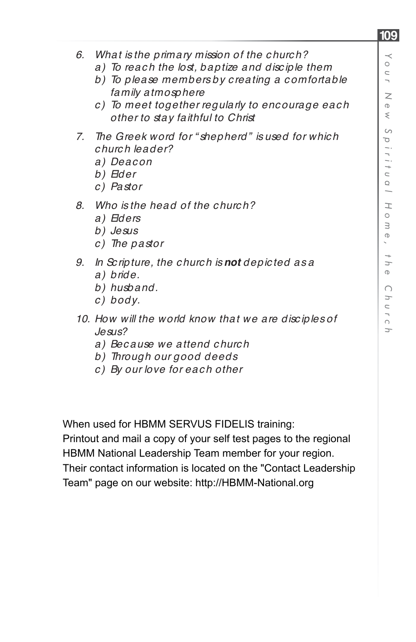- *6. What is the primary mission of the c hurc h?*
	- *a) To reac h the lost, baptize and disc iple them*
	- *b) To please members by c reating a c omfortable family atmosphere*
	- *c ) To meet together regularly to enc ourage eac h other to stay faithful to Christ*
- *7. The Greek word for " shepherd" is used for whic h c hurc h leader?*
	- *a) Deacon*
	- *b) Elder*
	- *c ) Pastor*
- *8. Who is the head of the c hurc h?*
	- *a) Elders*
	- *b) Jesus*
	- *c ) The pastor*
- *9. In Sc ripture, the c hurc h is not depic ted as a*
	- *a) bride.*
	- *b) husband.*
	- *c) body.*
- *10. How will the world know that we are disc iples of Jesus?*
	- *a) Bec ause we attend c hurc h*
	- *b) Through our good deeds*
	- *c ) By our love for eac h other*

When used for HBMM SERVUS FIDELIS training:

Printout and mail a copy of your self test pages to the regional HBMM National Leadership Team member for your region.

Their contact information is located on the "Contact Leadership Team" page on our website: http://HBMM-National.org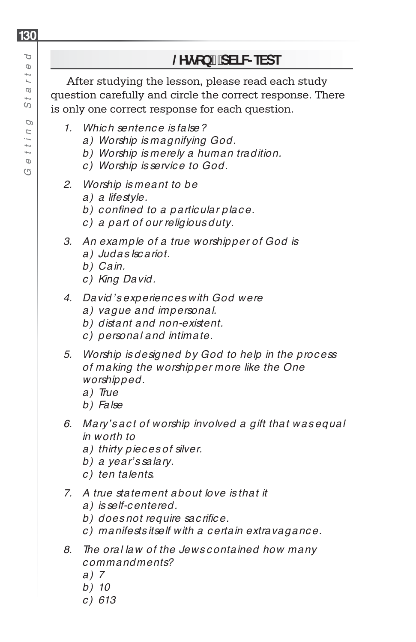#### Þ **/HVVRQSELF-TEST**  *G e t t i n g St a rt e d* $\circ$  $\ddot{ }$ After studying the lesson, please read each study L2 question carefully and circle the correct response. There is only one correct response for each question. D *1. Whic h sentenc e is false? a) Worship is magnifying God. b) Worship is merely a human tradition.*  $\Phi$ *c ) Worship is servic e to God.* G *2. Worship is meant to be a) a lifestyle.*

- *b*) confined to a particular place.
- *c ) a part of our religious duty.*
- *3. An example of a true worshipper of God is*
	- *a) Judas Isc ariot.*
	- *b) Cain.*
	- *c ) King David.*
- *4. David's experienc es with God were* 
	- *a) vague and impersonal.*
	- *b) distant and non-existent.*
	- *c ) personal and intimate.*
- *5. Worship is designed by God to help in the proc ess of making the worshipper more like the One worshipped.* 
	- *a) True*
	- *b) False*
- *6. Mary's ac t of worship involved a gift that was equal in worth to*
	- *a) thirty piec es of silver.*
	- *b) a year's salary.*
	- *c ) ten talents.*
- *7. A true statement about love is that it* 
	- *a) is self-c entered.*
	- *b*) does not require sac rifice.
	- *c ) manifests itself with a c ertain extravaganc e.*
- *8. The oral law of the Jews c ontained how many c ommandments?*
	- *a) 7*
	- *b) 10*
	- *c ) 613*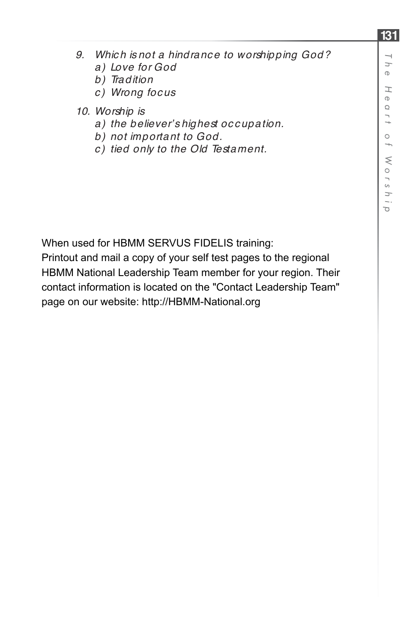- *9. Whic h is not a hindranc e to worshipping God?*
	- *a) Love for God*
	- *b) Tradition*
	- *c ) Wrong foc us*
- *10. Worship is*
	- *a) the believer's highest oc c upation.*
	- *b) not important to God.*
	- *c ) tied only to the Old Testament.*

When used for HBMM SERVUS FIDELIS training:

Printout and mail a copy of your self test pages to the regional HBMM National Leadership Team member for your region. Their contact information is located on the "Contact Leadership Team" page on our website: http://HBMM-National.org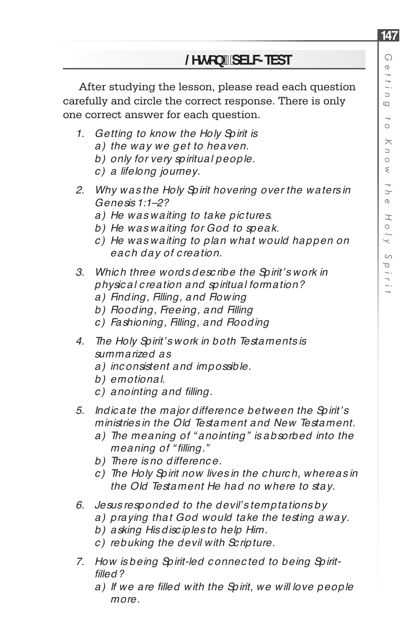After studying the lesson, please read each question carefully and circle the correct response. There is only one correct answer for each question.

- *1. Getting to know the Holy Spirit is*
	- *a) the way we get to heaven.*
	- *b) only for very spiritual people.*
	- *c ) a lifelong journey.*
- *2. Why was the Holy Spirit hovering over the waters in Genesis 1:1–2?*
	- *a) He was waiting to take pic tures.*
	- *b) He was waiting for God to speak.*
	- *c ) He was waiting to plan what would happen on eac h day of c reation.*
- *3. Whic h three words desc ribe the Spirit's work in physic al c reation and spiritual formation?*
	- *a) Finding, Filling, and Flowing*
	- *b) Flooding, Freeing, and Filling*
	- *c ) Fashioning, Filling, and Flooding*
- *4. The Holy Spirit's work in both Testaments is summarized as* 
	- *a) inc onsistent and impossible.*
	- *b) emotional.*
	- *c ) anointing and fi lling.*
- *5. Indic ate the major differenc e between the Spirit's ministries in the Old Testament and New Testament.*
	- *a) The meaning of " anointing" is absorbed into the meaning of " fi lling."*
	- *b) There is no differenc e.*
	- *c ) The Holy Spirit now lives in the c hurc h, whereas in the Old Testament He had no where to stay.*
- *6. Jesus responded to the devil's temptations by*
	- *a) praying that God would take the testing away.*
	- *b) asking His disc iples to help Him.*
	- *c ) rebuking the devil with Sc ripture.*
- *7. How is being Spirit-led c onnec ted to being Spiritfi lled?*
	- a) If we are filled with the Spirit, we will love people *more.*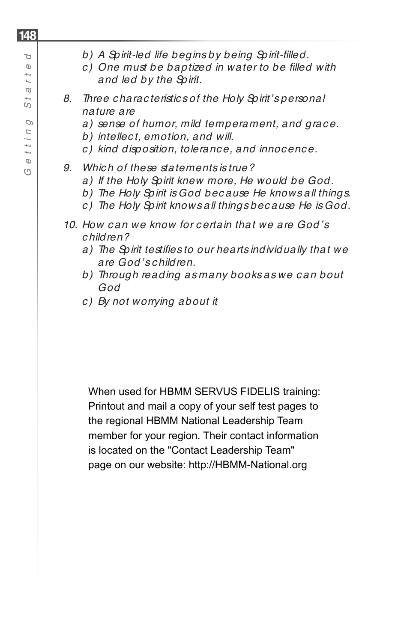- *c ) One must be baptized in water to be fi lled with and led by the Spirit.*
- *8. Three c harac teristic s of the Holy Spirit's personal nature are*
	- *a) sense of humor, mild temperament, and grac e.*
	- *b) intellec t, emotion, and will.*
	- *c ) kind disposition, toleranc e, and innoc enc e.*

#### *9. Whic h of these statements is true?*

- *a) If the Holy Spirit knew more, He would be God.*
- *b) The Holy Spirit is God bec ause He knows all things.*
- *c ) The Holy Spirit knows all things bec ause He is God.*
- *10. How c an we know for c ertain that we are God's c hildren?*
	- a) The Spirit testifies to our hearts individually that we *are God's c hildren.*
	- *b) Through reading as many books as we c an bout God*
	- *c ) By not worrying about it*

When used for HBMM SERVUS FIDELIS training: Printout and mail a copy of your self test pages to the regional HBMM National Leadership Team member for your region. Their contact information is located on the "Contact Leadership Team" page on our website: http://HBMM-National.org

**148** p *G e t t i n g St a rt e d*  $\circ$  $\frac{1}{2}$ L2 S D  $1117$  $\Phi$ G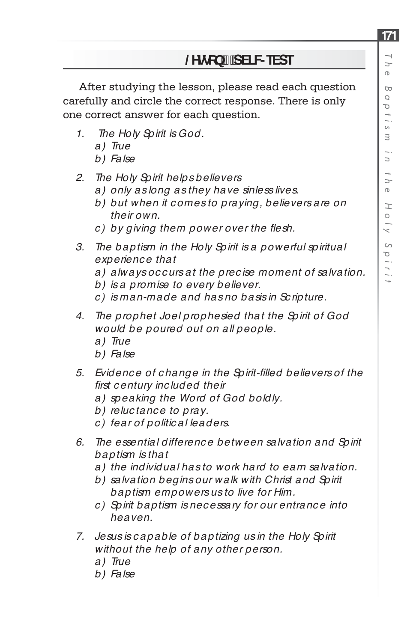After studying the lesson, please read each question carefully and circle the correct response. There is only one correct answer for each question.

- *1. The Holy Spirit is God.* 
	- *a) True*
	- *b) False*
- *2. The Holy Spirit helps believers* 
	- *a) only as long as they have sinless lives.*
	- *b) but when it c omes to praying, believers are on their own.*
	- *c*) by giving them power over the flesh.
- *3. The baptism in the Holy Spirit is a powerful spiritual experienc e that*
	- *a) always oc c urs at the prec ise moment of salvation.*
	- *b) is a promise to every believer.*
	- *c ) is man-made and has no basis in Sc ripture.*
- *4. The prophet Joel prophesied that the Spirit of God would be poured out on all people.* 
	- *a) True*
	- *b) False*
- *5. Evidenc e of c hange in the Spirit-fi lled believers of the fi rst c entury inc luded their*
	- *a) speaking the Word of God boldly.*
	- *b) reluc tanc e to pray.*
	- *c ) fear of politic al leaders.*
- *6. The essential differenc e between salvation and Spirit baptism is that* 
	- *a) the individual has to work hard to earn salvation.*
	- *b) salvation begins our walk with Christ and Spirit baptism empowers us to live for Him.*
	- *c ) Spirit baptism is nec essary for our entranc e into heaven.*
- *7. Jesus is c apable of baptizing us in the Holy Spirit without the help of any other person.* 
	- *a) True*
	- *b) False*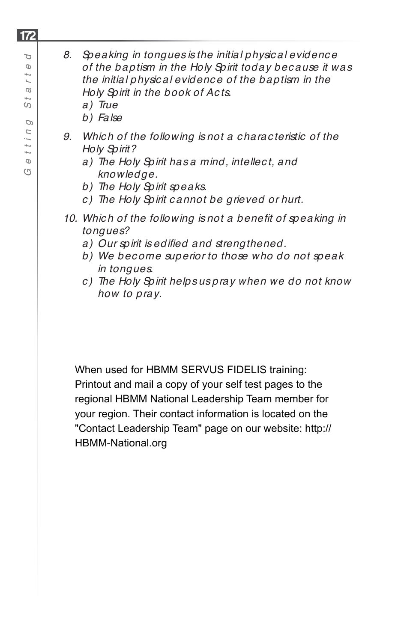- *b) False*
- *9. Whic h of the following is not a c harac teristic of the Holy Spirit?* 
	- *a) The Holy Spirit has a mind, intellec t, and knowledge.*
	- *b) The Holy Spirit speaks.*
	- *c ) The Holy Spirit c annot be grieved or hurt.*
- 10. Which of the following is not a benefit of speaking in *tongues?* 
	- a) Our spirit is edified and strengthened.
	- *b) We bec ome superior to those who do not speak in tongues.*
	- *c ) The Holy Spirit helps us pray when we do not know how to pray.*

When used for HBMM SERVUS FIDELIS training: Printout and mail a copy of your self test pages to the regional HBMM National Leadership Team member for your region. Their contact information is located on the "Contact Leadership Team" page on our website: http:// HBMM-National.org

#### P *G e t t i n g St a rt e d*  $\circ$  $\ddot{ }$ L2 S D  $111$  $\Phi$ G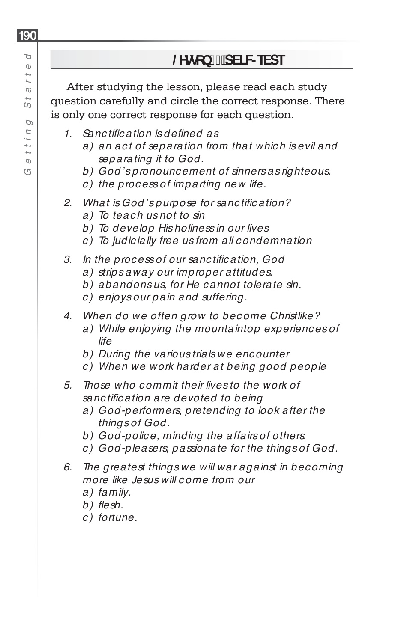After studying the lesson, please read each study question carefully and circle the correct response. There is only one correct response for each question.

- *1. Sanc tifi c ation is defi ned as*
	- *a) an ac t of separation from that whic h is evil and separating it to God.*
	- *b) God's pronounc ement of sinners as righteous.*
	- *c ) the proc ess of imparting new life.*
- 2. What is God's purpose for sanctification?
	- *a) To teac h us not to sin*
	- *b) To develop His holiness in our lives*
	- *c ) To judic ially free us from all c ondemnation*
- *3. In the proc ess of our sanc tifi c ation, God* 
	- *a) strips away our improper attitudes.*
	- *b) abandons us, for He c annot tolerate sin.*
	- *c ) enjoys our pain and suffering.*
- *4. When do we often grow to bec ome Christlike?*
	- *a) While enjoying the mountaintop experienc es of life*
	- *b) During the various trials we enc ounter*
	- *c ) When we work harder at being good people*
- *5. Those who c ommit their lives to the work of sanc tifi c ation are devoted to being* 
	- *a) God-performers, pretending to look after the things of God.*
	- *b) God-polic e, minding the affairs of others.*
	- *c ) God-pleasers, passionate for the things of God.*
- *6. The greatest things we will war against in bec oming more like Jesus will c ome from our*
	- *a) family.*
	- b) flesh.
	- *c ) fortune.*

**190** Þ *G e t t i n g St a rt e d* $\circ$  $\frac{1}{2}$ L2 57  $\varphi$  $U, I, I$ 

 $\Phi$ G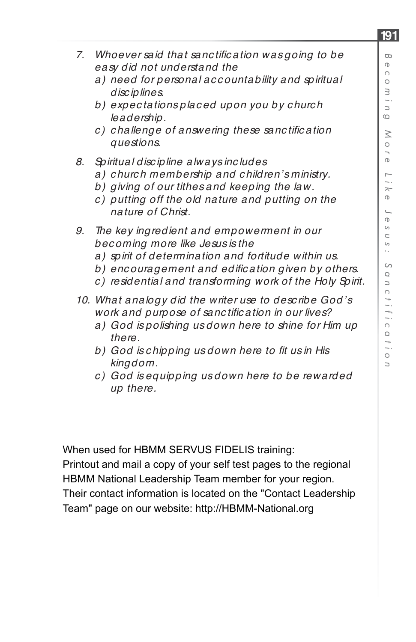- *7. Whoever said that sanctific ation was going to be easy did not understand the*
	- *a) need for personal ac c ountability and spiritual disc iplines.*
	- *b) expec tations plac ed upon you by c hurc h leadership.*
	- *c*) challenge of answering these sanctification *questions.*
- *8. Spiritual disc ipline always inc ludes*
	- *a) c hurc h membership and c hildren's ministry.*
	- *b) giving of our tithes and keeping the law.*
	- *c ) putting off the old nature and putting on the nature of Christ.*
- *9. The key ingredient and empowerment in our bec oming more like Jesus is the*
	- *a) spirit of determination and fortitude within us.*
	- b) encouragement and edification given by others.
	- *c ) residential and transforming work of the Holy Spirit.*
- *10. What analogy did the writer use to desc ribe God's work and purpose of sanctific ation in our lives?* 
	- *a) God is polishing us down here to shine for Him up there.*
	- *b) God is c hipping us down here to fi t us in His kingdom.*
	- *c ) God is equipping us down here to be rewarded up there.*

When used for HBMM SERVUS FIDELIS training: Printout and mail a copy of your self test pages to the regional HBMM National Leadership Team member for your region. Their contact information is located on the "Contact Leadership Team" page on our website: http://HBMM-National.org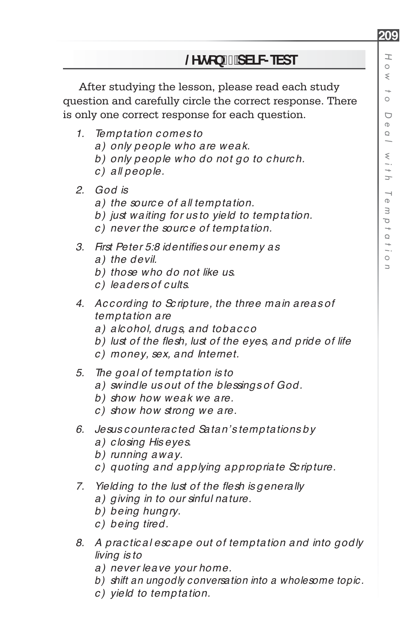After studying the lesson, please read each study question and carefully circle the correct response. There is only one correct response for each question.

- *1. Temptation c omes to*
	- *a) only people who are weak.*
	- *b) only people who do not go to c hurc h.*
	- *c ) all people.*
- *2. God is*
	- *a) the sourc e of all temptation.*
	- *b) just waiting for us to yield to temptation.*
	- *c ) never the sourc e of temptation.*
- *3. First Peter 5:8 identifi es our enemy as*
	- *a) the devil.*
	- *b) those who do not like us.*
	- *c ) leaders of c ults.*
- *4. Ac c ording to Sc ripture, the three main areas of temptation are*
	- *a) alc ohol, drugs, and tobac c o*
	- b) lust of the flesh, lust of the eyes, and pride of life
	- *c ) money, sex, and Internet.*
- *5. The goal of temptation is to*
	- *a) swindle us out of the blessings of God.*
	- *b) show how weak we are.*
	- *c ) show how strong we are.*
- *6. Jesus c ounterac ted Satan's temptations by*
	- *a) c losing His eyes.*
	- *b) running away.*
	- *c ) quoting and applying appropriate Sc ripture.*
- *7. Yielding to the lust of the flesh is generally* 
	- *a) giving in to our sinful nature.*
	- *b) being hungry.*
	- *c ) being tired.*
- *8. A prac tic al esc ape out of temptation and into godly living is to*
	- *a) never leave your home.*
	- *b) shift an ungodly conversation into a wholesome topic.*
	- *c ) yield to temptation.*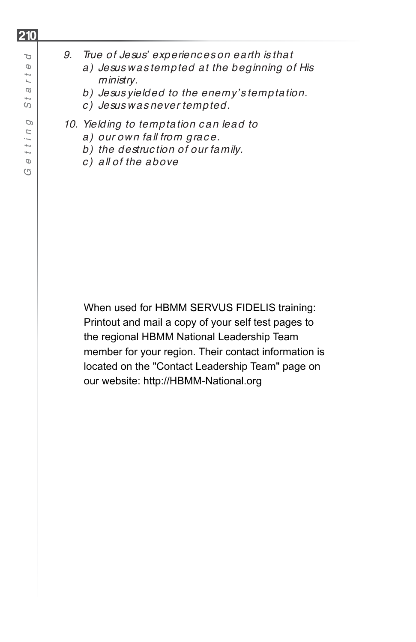- *a) Jesus was tempted at the beginning of His ministry.*
- *b) Jesus yielded to the enemy's temptation.*
- *c ) Jesus was never tempted.*
- *10. Yielding to temptation c an lead to*
	- *a) our own fall from grac e.*
	- *b) the destruc tion of our family.*
	- *c ) all of the above*

When used for HBMM SERVUS FIDELIS training: Printout and mail a copy of your self test pages to the regional HBMM National Leadership Team member for your region. Their contact information is located on the "Contact Leadership Team" page on our website: http://HBMM-National.org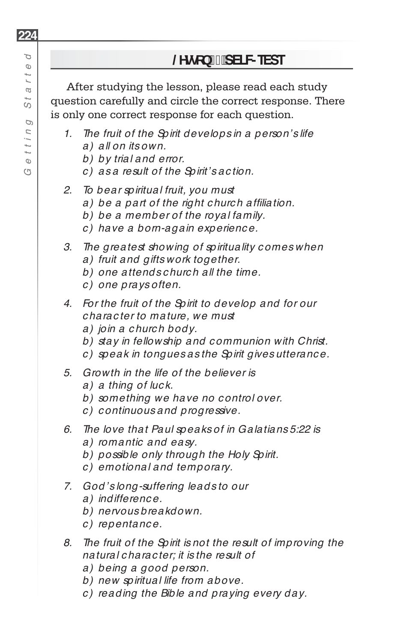After studying the lesson, please read each study question carefully and circle the correct response. There is only one correct response for each question.

- *1. The fruit of the Spirit develops in a person's life*
	- *a) all on its own.*
	- *b) by trial and error.*
	- *c ) as a result of the Spirit's ac tion.*
- *2. To bear spiritual fruit, you must*
	- a) be a part of the right church affiliation.
	- *b) be a member of the royal family.*
	- *c ) have a born-again experienc e.*
- *3. The greatest showing of spirituality c omes when a) fruit and gifts work together.*
	- *b) one attends c hurc h all the time.*
	- *c ) one prays often.*
- *4. For the fruit of the Spirit to develop and for our c harac ter to mature, we must*
	- *a) join a c hurc h body.*
	- *b) stay in fellowship and c ommunion with Christ.*
	- *c ) speak in tongues as the Spirit gives utteranc e.*
- *5. Growth in the life of the believer is*
	- *a) a thing of luc k.*
	- *b) something we have no c ontrol over.*
	- *c ) c ontinuous and progressive.*
- *6. The love that Paul speaks of in Galatians 5:22 is* 
	- *a) romantic and easy.*
	- *b) possible only through the Holy Spirit.*
	- *c ) emotional and temporary.*
- *7. God's long-suffering leads to our*
	- *a) indifferenc e.*
	- *b) nervous breakdown.*
	- *c ) repentanc e.*
- *8. The fruit of the Spirit is not the result of improving the natural c harac ter; it is the result of*
	- *a) being a good person.*
	- *b) new spiritual life from above.*
	- *c ) reading the Bible and praying every day.*

**224**

P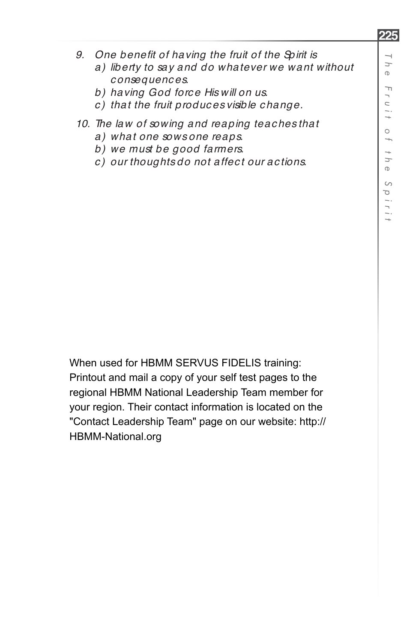- 9. One benefit of having the fruit of the Spirit is
	- *a) liberty to say and do whatever we want without c onsequenc es.*
	- *b) having God forc e His will on us.*
	- *c ) that the fruit produc es visible c hange.*
- *10. The law of sowing and reaping teac hes that* 
	- *a) what one sows one reaps.*
	- *b) we must be good farmers.*
	- *c ) our thoughts do not affec t our ac tions.*

When used for HBMM SERVUS FIDELIS training: Printout and mail a copy of your self test pages to the regional HBMM National Leadership Team member for your region. Their contact information is located on the "Contact Leadership Team" page on our website: http:// HBMM-National.org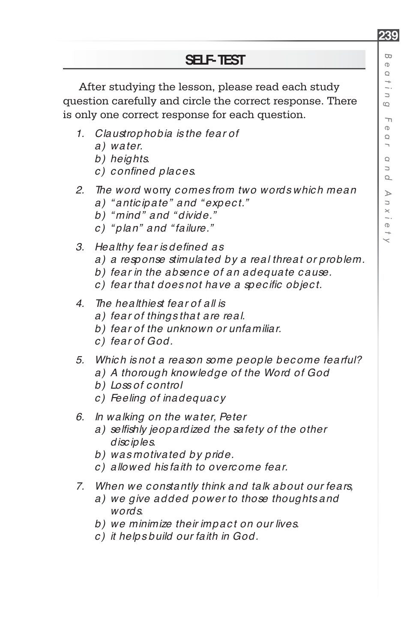**239**

## **SELF-TEST**

After studying the lesson, please read each study question carefully and circle the correct response. There is only one correct response for each question.

- *1. Claustrophobia is the fear of*
	- *a) water.*
	- *b) heights.*
	- *c) confi ned plac es.*
- *2. The word* worry *c omes from two words whic h mean*
	- *a) " antic ipate" and " expec t."*
	- *b) " mind" and " divide."*
	- *c ) " plan" and " failure."*
- *3. Healthy fear is defi ned as*
	- *a) a response stimulated by a real threat or problem.*
	- *b) fear in the absenc e of an adequate c ause.*
	- *c*) fear that does not have a specific object.
- *4. The healthiest fear of all is*
	- *a) fear of things that are real.*
	- *b) fear of the unknown or unfamiliar.*
	- *c ) fear of God.*
- *5. Whic h is not a reason some people bec ome fearful?*
	- *a) A thorough knowledge of the Word of God*
	- *b) Loss of c ontrol*
	- *c ) Feeling of inadequac y*
- *6. In walking on the water, Peter* 
	- a) selfishly jeopardized the safety of the other *disc iples.*
	- *b) was motivated by pride.*
	- *c ) allowed his faith to overc ome fear.*
- *7. When we c onstantly think and talk about our fears,*
	- *a) we give added power to those thoughts and words.*
	- *b) we minimize their impac t on our lives.*
	- *c ) it helps build our faith in God.*